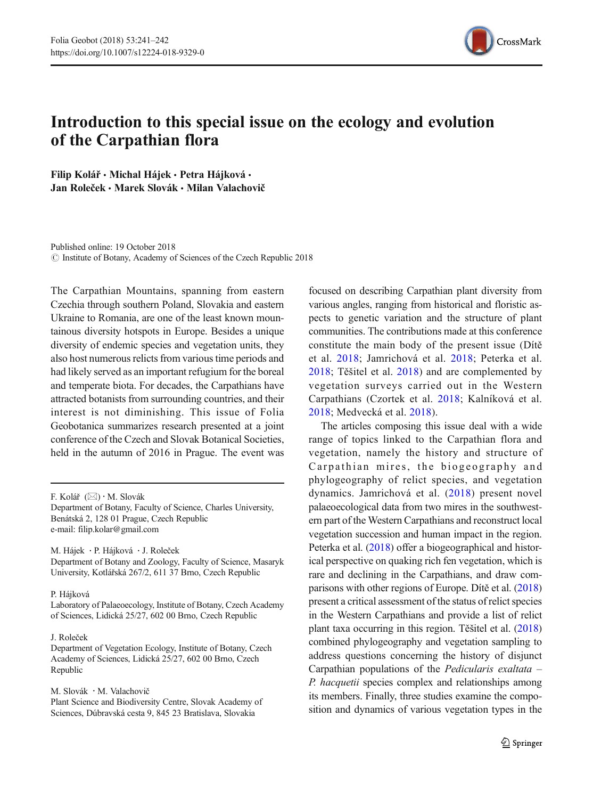

## Introduction to this special issue on the ecology and evolution of the Carpathian flora

Filip Kolář · Michal Hájek · Petra Hájková · Jan Roleček • Marek Slovák • Milan Valachovič

Published online: 19 October 2018  $\odot$  Institute of Botany, Academy of Sciences of the Czech Republic 2018

The Carpathian Mountains, spanning from eastern Czechia through southern Poland, Slovakia and eastern Ukraine to Romania, are one of the least known mountainous diversity hotspots in Europe. Besides a unique diversity of endemic species and vegetation units, they also host numerous relicts from various time periods and had likely served as an important refugium for the boreal and temperate biota. For decades, the Carpathians have attracted botanists from surrounding countries, and their interest is not diminishing. This issue of Folia Geobotanica summarizes research presented at a joint conference of the Czech and Slovak Botanical Societies, held in the autumn of 2016 in Prague. The event was

M. Hájek : P. Hájková : J. Roleček Department of Botany and Zoology, Faculty of Science, Masaryk University, Kotlářská 267/2, 611 37 Brno, Czech Republic

P. Hájková

Laboratory of Palaeoecology, Institute of Botany, Czech Academy of Sciences, Lidická 25/27, 602 00 Brno, Czech Republic

## J. Roleček

Department of Vegetation Ecology, Institute of Botany, Czech Academy of Sciences, Lidická 25/27, 602 00 Brno, Czech Republic

M. Slovák : M. Valachovi<sup>č</sup>

Plant Science and Biodiversity Centre, Slovak Academy of Sciences, Dúbravská cesta 9, 845 23 Bratislava, Slovakia

focused on describing Carpathian plant diversity from various angles, ranging from historical and floristic aspects to genetic variation and the structure of plant communities. The contributions made at this conference constitute the main body of the present issue (Dítě et al. [2018](#page-1-0); Jamrichová et al. [2018;](#page-1-0) Peterka et al. [2018](#page-1-0); Těšitel et al. [2018\)](#page-1-0) and are complemented by vegetation surveys carried out in the Western Carpathians (Czortek et al. [2018;](#page-1-0) Kalníková et al. [2018](#page-1-0); Medvecká et al. [2018](#page-1-0)).

The articles composing this issue deal with a wide range of topics linked to the Carpathian flora and vegetation, namely the history and structure of Carpathian mires, the biogeography and phylogeography of relict species, and vegetation dynamics. Jamrichová et al. ([2018\)](#page-1-0) present novel palaeoecological data from two mires in the southwestern part of the Western Carpathians and reconstruct local vegetation succession and human impact in the region. Peterka et al. ([2018](#page-1-0)) offer a biogeographical and historical perspective on quaking rich fen vegetation, which is rare and declining in the Carpathians, and draw comparisons with other regions of Europe. Dítě et al. ([2018](#page-1-0)) present a critical assessment of the status of relict species in the Western Carpathians and provide a list of relict plant taxa occurring in this region. Těšitel et al. ([2018](#page-1-0)) combined phylogeography and vegetation sampling to address questions concerning the history of disjunct Carpathian populations of the Pedicularis exaltata – P. hacquetii species complex and relationships among its members. Finally, three studies examine the composition and dynamics of various vegetation types in the

F. Kolář  $(\boxtimes) \cdot M$ . Slovák

Department of Botany, Faculty of Science, Charles University, Benátská 2, 128 01 Prague, Czech Republic e-mail: filip.kolar@gmail.com